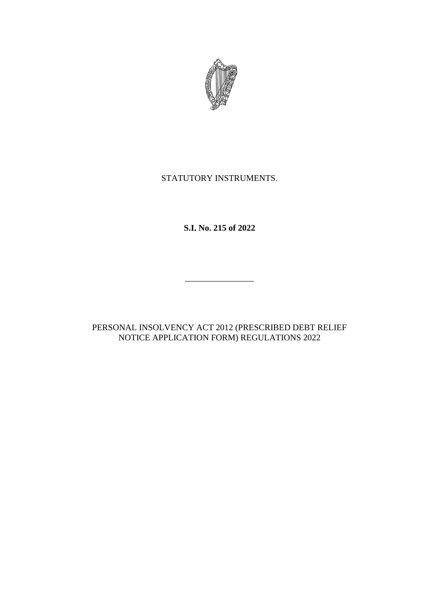

## STATUTORY INSTRUMENTS.

**S.I. No. 215 of 2022**

\_\_\_\_\_\_\_\_\_\_\_\_\_\_\_\_

PERSONAL INSOLVENCY ACT 2012 (PRESCRIBED DEBT RELIEF NOTICE APPLICATION FORM) REGULATIONS 2022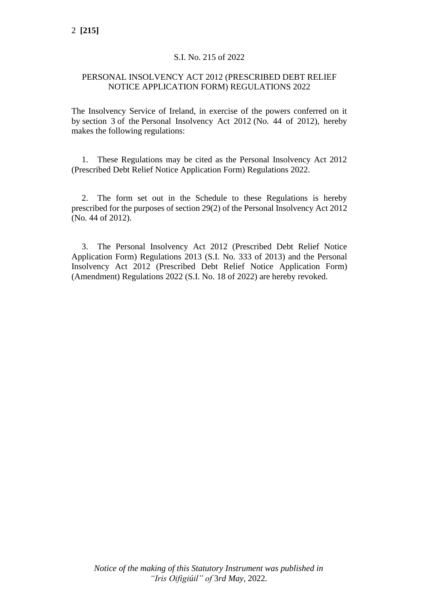### S.I. No. 215 of 2022

### PERSONAL INSOLVENCY ACT 2012 (PRESCRIBED DEBT RELIEF NOTICE APPLICATION FORM) REGULATIONS 2022

The Insolvency Service of Ireland, in exercise of the powers conferred on it by section 3 of the Personal Insolvency Act 2012 (No. 44 of 2012), hereby makes the following regulations:

1. These Regulations may be cited as the Personal Insolvency Act 2012 (Prescribed Debt Relief Notice Application Form) Regulations 2022.

2. The form set out in the Schedule to these Regulations is hereby prescribed for the purposes of section 29(2) of the Personal Insolvency Act 2012 (No. 44 of 2012).

3. The Personal Insolvency Act 2012 (Prescribed Debt Relief Notice Application Form) Regulations 2013 (S.I. No. 333 of 2013) and the Personal Insolvency Act 2012 (Prescribed Debt Relief Notice Application Form) (Amendment) Regulations 2022 (S.I. No. 18 of 2022) are hereby revoked.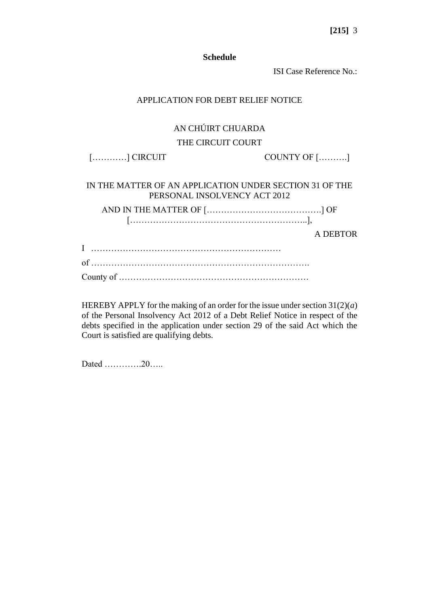**[215]** 3

#### **Schedule**

ISI Case Reference No.:

#### APPLICATION FOR DEBT RELIEF NOTICE

### AN CHÚIRT CHUARDA

#### THE CIRCUIT COURT

[…………] CIRCUIT COUNTY OF [……….]

IN THE MATTER OF AN APPLICATION UNDER SECTION 31 OF THE PERSONAL INSOLVENCY ACT 2012

AND IN THE MATTER OF [………………………………….] OF [……………………………………………………..],

A DEBTOR

HEREBY APPLY for the making of an order for the issue under section  $31(2)(a)$ of the Personal Insolvency Act 2012 of a Debt Relief Notice in respect of the debts specified in the application under section 29 of the said Act which the Court is satisfied are qualifying debts.

Dated ………….20…..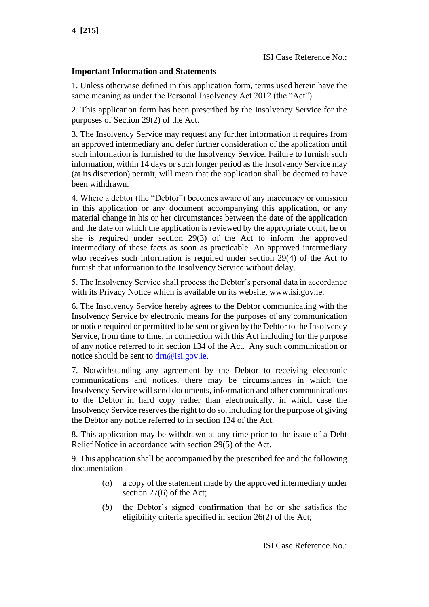### **Important Information and Statements**

1. Unless otherwise defined in this application form, terms used herein have the same meaning as under the Personal Insolvency Act 2012 (the "Act").

2. This application form has been prescribed by the Insolvency Service for the purposes of Section 29(2) of the Act.

3. The Insolvency Service may request any further information it requires from an approved intermediary and defer further consideration of the application until such information is furnished to the Insolvency Service. Failure to furnish such information, within 14 days or such longer period as the Insolvency Service may (at its discretion) permit, will mean that the application shall be deemed to have been withdrawn.

4. Where a debtor (the "Debtor") becomes aware of any inaccuracy or omission in this application or any document accompanying this application, or any material change in his or her circumstances between the date of the application and the date on which the application is reviewed by the appropriate court, he or she is required under section 29(3) of the Act to inform the approved intermediary of these facts as soon as practicable. An approved intermediary who receives such information is required under section 29(4) of the Act to furnish that information to the Insolvency Service without delay.

5. The Insolvency Service shall process the Debtor's personal data in accordance with its Privacy Notice which is available on its website, www.isi.gov.ie.

6. The Insolvency Service hereby agrees to the Debtor communicating with the Insolvency Service by electronic means for the purposes of any communication or notice required or permitted to be sent or given by the Debtor to the Insolvency Service, from time to time, in connection with this Act including for the purpose of any notice referred to in section 134 of the Act. Any such communication or notice should be sent to [drn@isi.gov.ie.](mailto:drn@isi.gov.ie)

7. Notwithstanding any agreement by the Debtor to receiving electronic communications and notices, there may be circumstances in which the Insolvency Service will send documents, information and other communications to the Debtor in hard copy rather than electronically, in which case the Insolvency Service reserves the right to do so, including for the purpose of giving the Debtor any notice referred to in section 134 of the Act.

8. This application may be withdrawn at any time prior to the issue of a Debt Relief Notice in accordance with section 29(5) of the Act.

9. This application shall be accompanied by the prescribed fee and the following documentation -

- (*a*) a copy of the statement made by the approved intermediary under section 27(6) of the Act;
- (*b*) the Debtor's signed confirmation that he or she satisfies the eligibility criteria specified in section 26(2) of the Act;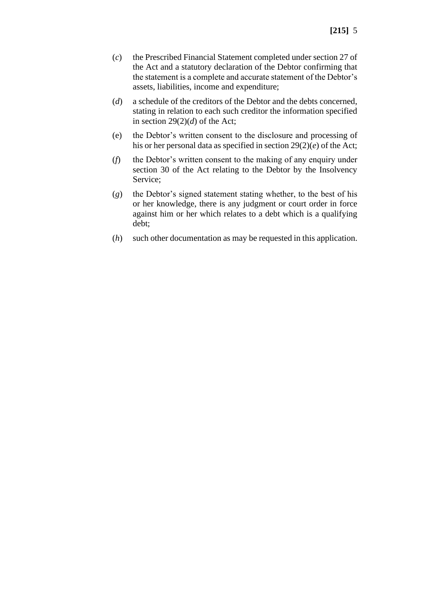- (*c*) the Prescribed Financial Statement completed under section 27 of the Act and a statutory declaration of the Debtor confirming that the statement is a complete and accurate statement of the Debtor's assets, liabilities, income and expenditure;
- (*d*) a schedule of the creditors of the Debtor and the debts concerned, stating in relation to each such creditor the information specified in section  $29(2)(d)$  of the Act;
- (e) the Debtor's written consent to the disclosure and processing of his or her personal data as specified in section 29(2)(*e*) of the Act;
- (*f*) the Debtor's written consent to the making of any enquiry under section 30 of the Act relating to the Debtor by the Insolvency Service;
- (*g*) the Debtor's signed statement stating whether, to the best of his or her knowledge, there is any judgment or court order in force against him or her which relates to a debt which is a qualifying debt;
- (*h*) such other documentation as may be requested in this application.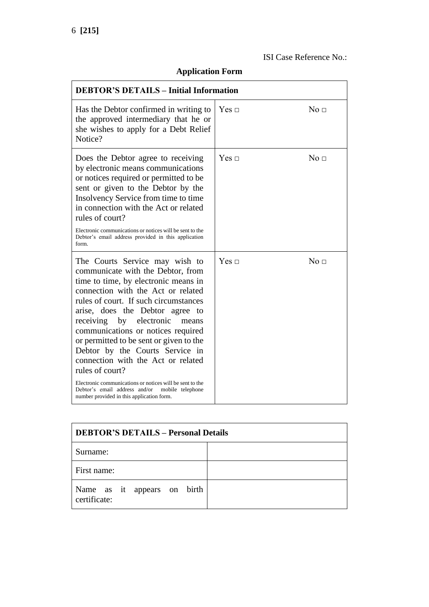# **Application Form**

| <b>DEBTOR'S DETAILS - Initial Information</b>                                                                                                                                                                                                                                                                                                                                                                                                                                                                                                                                                                |              |                 |
|--------------------------------------------------------------------------------------------------------------------------------------------------------------------------------------------------------------------------------------------------------------------------------------------------------------------------------------------------------------------------------------------------------------------------------------------------------------------------------------------------------------------------------------------------------------------------------------------------------------|--------------|-----------------|
| Has the Debtor confirmed in writing to<br>the approved intermediary that he or<br>she wishes to apply for a Debt Relief<br>Notice?                                                                                                                                                                                                                                                                                                                                                                                                                                                                           | Yes $\Box$   | No <sub>1</sub> |
| Does the Debtor agree to receiving<br>by electronic means communications<br>or notices required or permitted to be<br>sent or given to the Debtor by the<br>Insolvency Service from time to time<br>in connection with the Act or related<br>rules of court?                                                                                                                                                                                                                                                                                                                                                 | $Yes \sqcap$ | No <sub>1</sub> |
| Electronic communications or notices will be sent to the<br>Debtor's email address provided in this application<br>form.                                                                                                                                                                                                                                                                                                                                                                                                                                                                                     |              |                 |
| The Courts Service may wish to<br>communicate with the Debtor, from<br>time to time, by electronic means in<br>connection with the Act or related<br>rules of court. If such circumstances<br>arise, does the Debtor agree to<br>receiving by electronic<br>means<br>communications or notices required<br>or permitted to be sent or given to the<br>Debtor by the Courts Service in<br>connection with the Act or related<br>rules of court?<br>Electronic communications or notices will be sent to the<br>Debtor's email address and/or<br>mobile telephone<br>number provided in this application form. | Yes $\sqcap$ | No <sub>□</sub> |

| <b>DEBTOR'S DETAILS - Personal Details</b>  |  |  |
|---------------------------------------------|--|--|
| Surname:                                    |  |  |
| First name:                                 |  |  |
| Name as it appears on birth<br>certificate: |  |  |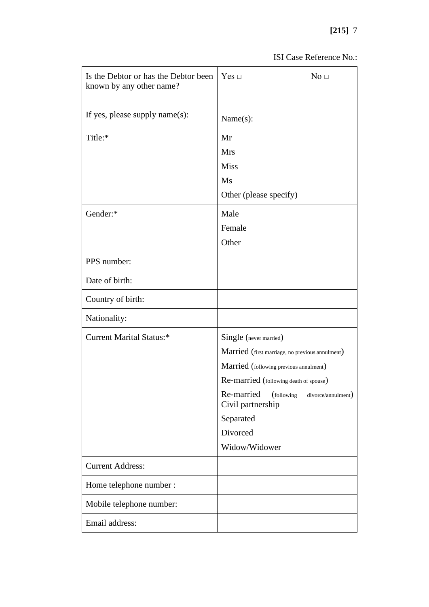# **[215]** 7

| Is the Debtor or has the Debtor been<br>known by any other name? | Yes $\Box$<br>No <sub>1</sub>                                       |
|------------------------------------------------------------------|---------------------------------------------------------------------|
| If yes, please supply name $(s)$ :                               | Name(s):                                                            |
| Title:*                                                          | Mr                                                                  |
|                                                                  | <b>Mrs</b>                                                          |
|                                                                  | <b>Miss</b>                                                         |
|                                                                  | Ms                                                                  |
|                                                                  | Other (please specify)                                              |
| Gender:*                                                         | Male                                                                |
|                                                                  | Female                                                              |
|                                                                  | Other                                                               |
| PPS number:                                                      |                                                                     |
| Date of birth:                                                   |                                                                     |
| Country of birth:                                                |                                                                     |
| Nationality:                                                     |                                                                     |
| <b>Current Marital Status:*</b>                                  | Single (never married)                                              |
|                                                                  | Married (first marriage, no previous annulment)                     |
|                                                                  | Married (following previous annulment)                              |
|                                                                  | Re-married (following death of spouse)                              |
|                                                                  | Re-married<br>(following<br>divorce/annulment)<br>Civil partnership |
|                                                                  | Separated                                                           |
|                                                                  | Divorced                                                            |
|                                                                  | Widow/Widower                                                       |
| <b>Current Address:</b>                                          |                                                                     |
| Home telephone number :                                          |                                                                     |
| Mobile telephone number:                                         |                                                                     |
| Email address:                                                   |                                                                     |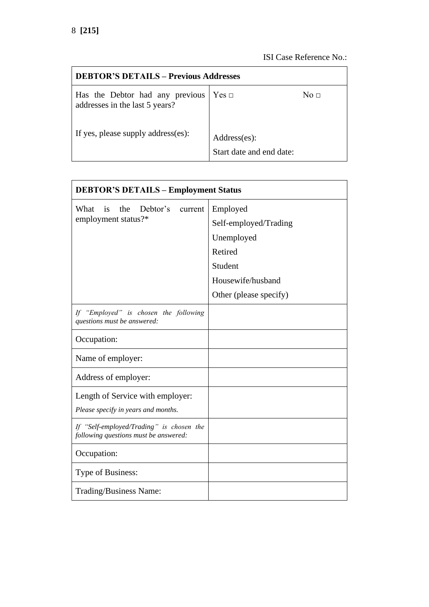| <b>DEBTOR'S DETAILS – Previous Addresses</b>                      |                                          |             |
|-------------------------------------------------------------------|------------------------------------------|-------------|
| Has the Debtor had any previous<br>addresses in the last 5 years? | Yes ⊡                                    | No $\sqcap$ |
| If yes, please supply address(es):                                | Address(es):<br>Start date and end date: |             |

| <b>DEBTOR'S DETAILS - Employment Status</b>                                       |                        |  |
|-----------------------------------------------------------------------------------|------------------------|--|
| Debtor's<br>What<br>the<br>$\frac{1}{1}$<br>current                               | Employed               |  |
| employment status?*                                                               | Self-employed/Trading  |  |
|                                                                                   | Unemployed             |  |
|                                                                                   | Retired                |  |
|                                                                                   | Student                |  |
|                                                                                   | Housewife/husband      |  |
|                                                                                   | Other (please specify) |  |
| If "Employed" is chosen the following<br>questions must be answered:              |                        |  |
| Occupation:                                                                       |                        |  |
| Name of employer:                                                                 |                        |  |
| Address of employer:                                                              |                        |  |
| Length of Service with employer:                                                  |                        |  |
| Please specify in years and months.                                               |                        |  |
| If "Self-employed/Trading" is chosen the<br>following questions must be answered: |                        |  |
| Occupation:                                                                       |                        |  |
| Type of Business:                                                                 |                        |  |
| Trading/Business Name:                                                            |                        |  |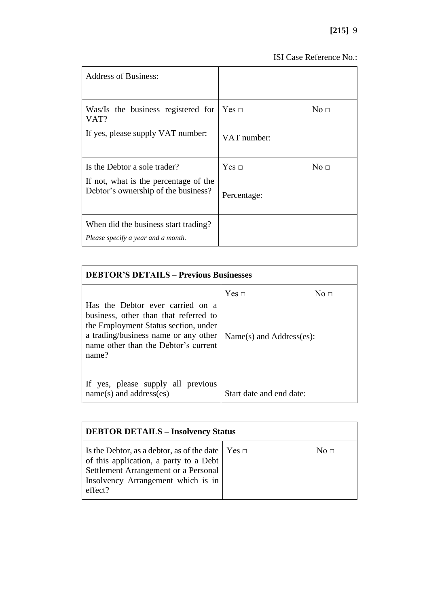| <b>Address of Business:</b>                                                  |              |                     |
|------------------------------------------------------------------------------|--------------|---------------------|
| Was/Is the business registered for<br>VAT?                                   | $Yes \sqcap$ | $\mathrm{No}\ \Box$ |
| If yes, please supply VAT number:                                            | VAT number:  |                     |
| Is the Debtor a sole trader?                                                 | Yes $\sqcap$ | No <sub>□</sub>     |
| If not, what is the percentage of the<br>Debtor's ownership of the business? | Percentage:  |                     |
| When did the business start trading?<br>Please specify a year and a month.   |              |                     |

| <b>DEBTOR'S DETAILS - Previous Businesses</b>                                                                                                                                                              |                                               |                 |
|------------------------------------------------------------------------------------------------------------------------------------------------------------------------------------------------------------|-----------------------------------------------|-----------------|
| Has the Debtor ever carried on a<br>business, other than that referred to<br>the Employment Status section, under<br>a trading/business name or any other<br>name other than the Debtor's current<br>name? | $Yes \sqcap$<br>$Name(s)$ and $Address(es)$ : | No <sub>□</sub> |
| If yes, please supply all previous<br>$name(s)$ and address(es)                                                                                                                                            | Start date and end date:                      |                 |

| <b>DEBTOR DETAILS - Insolvency Status</b>                                                                                                                                                         |  |           |
|---------------------------------------------------------------------------------------------------------------------------------------------------------------------------------------------------|--|-----------|
| Is the Debtor, as a debtor, as of the date $\vert$ Yes $\vert$<br>of this application, a party to a Debt<br>Settlement Arrangement or a Personal<br>Insolvency Arrangement which is in<br>effect? |  | No $\Box$ |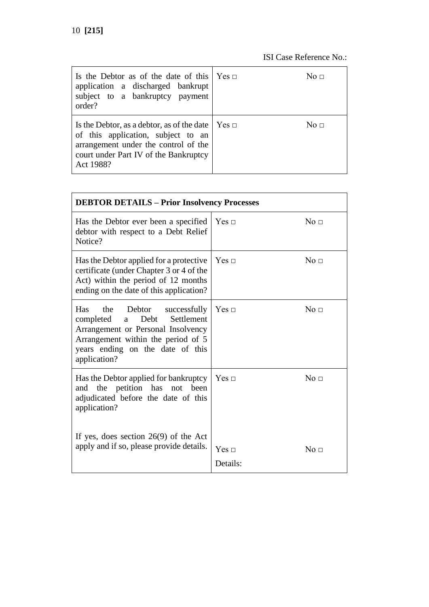| Is the Debtor as of the date of this $\forall$ es $\Box$<br>application a discharged bankrupt<br>subject to a bankruptcy payment<br>order?                                     |         | No ⊓      |
|--------------------------------------------------------------------------------------------------------------------------------------------------------------------------------|---------|-----------|
| Is the Debtor, as a debtor, as of the date<br>of this application, subject to an<br>arrangement under the control of the<br>court under Part IV of the Bankruptcy<br>Act 1988? | ∣ Yes ⊓ | No $\Box$ |

| <b>DEBTOR DETAILS - Prior Insolvency Processes</b>                                                                                                                                                        |                          |                     |
|-----------------------------------------------------------------------------------------------------------------------------------------------------------------------------------------------------------|--------------------------|---------------------|
| Has the Debtor ever been a specified<br>debtor with respect to a Debt Relief<br>Notice?                                                                                                                   | Yes ⊡                    | $\mathrm{No}\ \Box$ |
| Has the Debtor applied for a protective<br>certificate (under Chapter 3 or 4 of the<br>Act) within the period of 12 months<br>ending on the date of this application?                                     | Yes ⊡                    | No <sub>□</sub>     |
| Has<br>the Debtor<br>successfully<br>Settlement<br>completed<br>Debt<br>a<br>Arrangement or Personal Insolvency<br>Arrangement within the period of 5<br>years ending on the date of this<br>application? | Yes ⊡                    | No <sub>□</sub>     |
| Has the Debtor applied for bankruptcy<br>and the petition has not<br>been<br>adjudicated before the date of this<br>application?                                                                          | Yes ⊡                    | No <sub>□</sub>     |
| If yes, does section $26(9)$ of the Act<br>apply and if so, please provide details.                                                                                                                       | $Yes \sqcap$<br>Details: | No <sub>1</sub>     |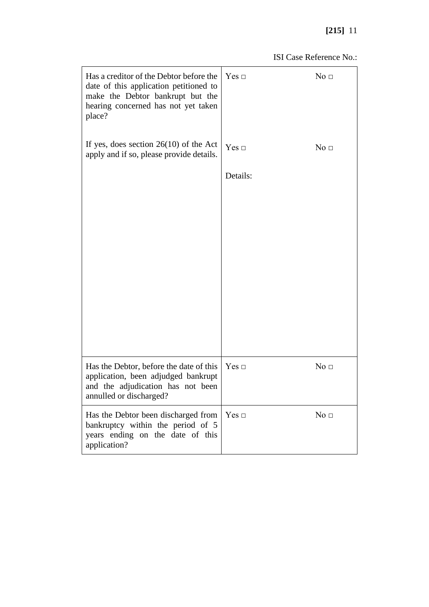## **[215]** 11

| Has a creditor of the Debtor before the<br>date of this application petitioned to<br>make the Debtor bankrupt but the<br>hearing concerned has not yet taken<br>place? | $Yes \Box$   | No <sub>□</sub> |
|------------------------------------------------------------------------------------------------------------------------------------------------------------------------|--------------|-----------------|
| If yes, does section $26(10)$ of the Act<br>apply and if so, please provide details.                                                                                   | Yes $\sqcap$ | No <sub>□</sub> |
|                                                                                                                                                                        | Details:     |                 |
|                                                                                                                                                                        |              |                 |
|                                                                                                                                                                        |              |                 |
|                                                                                                                                                                        |              |                 |
|                                                                                                                                                                        |              |                 |
|                                                                                                                                                                        |              |                 |
|                                                                                                                                                                        |              |                 |
| Has the Debtor, before the date of this<br>application, been adjudged bankrupt<br>and the adjudication has not been<br>annulled or discharged?                         | $Yes \Box$   | No <sub>□</sub> |
| Has the Debtor been discharged from<br>bankruptcy within the period of 5<br>years ending on the date of this<br>application?                                           | $Yes \Box$   | No <sub>□</sub> |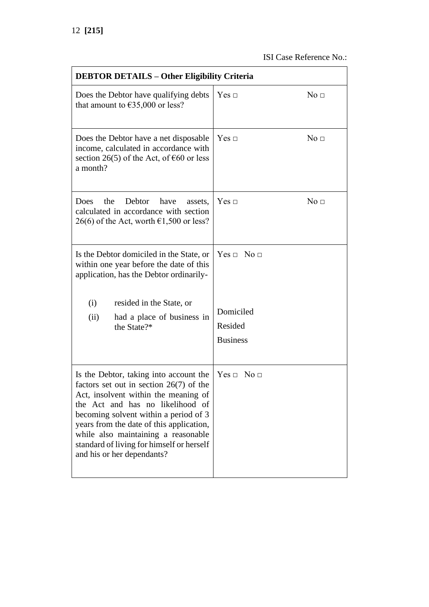| <b>DEBTOR DETAILS - Other Eligibility Criteria</b>                                                                                                                                                                                                                                                                                                                     |                                         |
|------------------------------------------------------------------------------------------------------------------------------------------------------------------------------------------------------------------------------------------------------------------------------------------------------------------------------------------------------------------------|-----------------------------------------|
| Does the Debtor have qualifying debts<br>that amount to $\epsilon$ 35,000 or less?                                                                                                                                                                                                                                                                                     | $Yes \Box$<br>No <sub>□</sub>           |
| Does the Debtor have a net disposable<br>income, calculated in accordance with<br>section 26(5) of the Act, of $\epsilon$ 60 or less<br>a month?                                                                                                                                                                                                                       | $Yes \Box$<br>No <sub>□</sub>           |
| the<br>Debtor<br>have<br>Does<br>assets,<br>calculated in accordance with section<br>26(6) of the Act, worth $\epsilon$ 1,500 or less?                                                                                                                                                                                                                                 | $Yes \Box$<br>No <sub>□</sub>           |
| Is the Debtor domiciled in the State, or<br>within one year before the date of this<br>application, has the Debtor ordinarily-                                                                                                                                                                                                                                         | $Yes \Box No \Box$                      |
| (i)<br>resided in the State, or<br>(ii)<br>had a place of business in<br>the State?*                                                                                                                                                                                                                                                                                   | Domiciled<br>Resided<br><b>Business</b> |
| Is the Debtor, taking into account the<br>factors set out in section $26(7)$ of the<br>Act, insolvent within the meaning of<br>the Act and has no likelihood of<br>becoming solvent within a period of 3<br>years from the date of this application,<br>while also maintaining a reasonable<br>standard of living for himself or herself<br>and his or her dependants? | Yes ⊡<br>$\mathrm{No}\ \Box$            |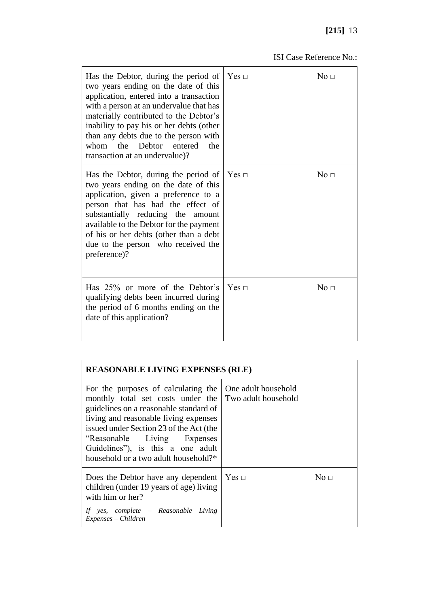| Has the Debtor, during the period of<br>two years ending on the date of this<br>application, entered into a transaction<br>with a person at an undervalue that has<br>materially contributed to the Debtor's<br>inability to pay his or her debts (other<br>than any debts due to the person with<br>the<br>entered<br>whom<br>Debtor<br>the<br>transaction at an undervalue)? | $Yes \sqcap$ | $\mathrm{No}\ \Box$ |
|--------------------------------------------------------------------------------------------------------------------------------------------------------------------------------------------------------------------------------------------------------------------------------------------------------------------------------------------------------------------------------|--------------|---------------------|
| Has the Debtor, during the period of<br>two years ending on the date of this<br>application, given a preference to a<br>person that has had the effect of<br>substantially reducing the amount<br>available to the Debtor for the payment<br>of his or her debts (other than a debt<br>due to the person who received the<br>preference)?                                      | $Yes \sqcap$ | No <sub>□</sub>     |
| Has 25% or more of the Debtor's<br>qualifying debts been incurred during<br>the period of 6 months ending on the<br>date of this application?                                                                                                                                                                                                                                  | $Yes \sqcap$ | No <sub>1</sub>     |

| <b>REASONABLE LIVING EXPENSES (RLE)</b>                                                                                                                                                                                                                                                                                                                      |  |           |
|--------------------------------------------------------------------------------------------------------------------------------------------------------------------------------------------------------------------------------------------------------------------------------------------------------------------------------------------------------------|--|-----------|
| For the purposes of calculating the   One adult household<br>monthly total set costs under the Two adult household<br>guidelines on a reasonable standard of<br>living and reasonable living expenses<br>issued under Section 23 of the Act (the<br>"Reasonable Living Expenses"<br>Guidelines", is this a one adult<br>household or a two adult household?* |  |           |
| Does the Debtor have any dependent   Yes $\Box$<br>children (under 19 years of age) living<br>with him or her?<br>If yes, complete - Reasonable Living<br>Expenses – Children                                                                                                                                                                                |  | No $\Box$ |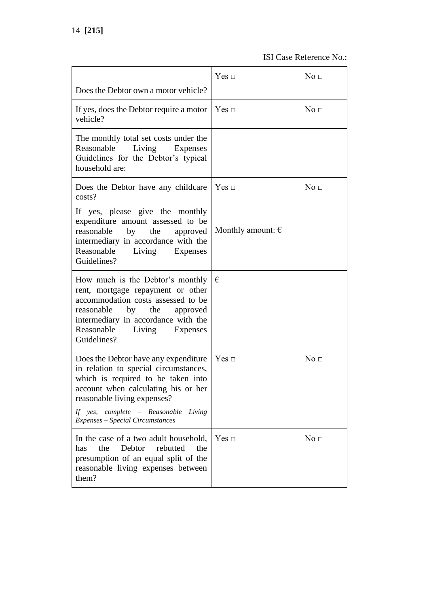|                                                                                                                                                                                                                                                                          | Yes ⊡                      | No <sub>□</sub> |
|--------------------------------------------------------------------------------------------------------------------------------------------------------------------------------------------------------------------------------------------------------------------------|----------------------------|-----------------|
| Does the Debtor own a motor vehicle?                                                                                                                                                                                                                                     |                            |                 |
| If yes, does the Debtor require a motor<br>vehicle?                                                                                                                                                                                                                      | Yes ⊡                      | No <sub>1</sub> |
| The monthly total set costs under the<br>Reasonable Living Expenses<br>Guidelines for the Debtor's typical<br>household are:                                                                                                                                             |                            |                 |
| Does the Debtor have any childcare<br>costs?                                                                                                                                                                                                                             | Yes ⊡                      | No <sub>□</sub> |
| If yes, please give the monthly<br>expenditure amount assessed to be<br>reasonable by the<br>approved<br>intermediary in accordance with the<br>Reasonable Living Expenses<br>Guidelines?                                                                                | Monthly amount: $\epsilon$ |                 |
| How much is the Debtor's monthly $\vert \theta \vert$<br>rent, mortgage repayment or other<br>accommodation costs assessed to be<br>reasonable by the<br>approved<br>intermediary in accordance with the<br>Reasonable Living Expenses<br>Guidelines?                    |                            |                 |
| Does the Debtor have any expenditure<br>in relation to special circumstances,<br>which is required to be taken into<br>account when calculating his or her<br>reasonable living expenses?<br>If yes, complete - Reasonable<br>Living<br>Expenses - Special Circumstances | Yes ⊡                      | No <sub>□</sub> |
| In the case of a two adult household,<br>the<br>Debtor<br>rebutted<br>has<br>the<br>presumption of an equal split of the<br>reasonable living expenses between<br>them?                                                                                                  | Yes ⊡                      | No <sub>□</sub> |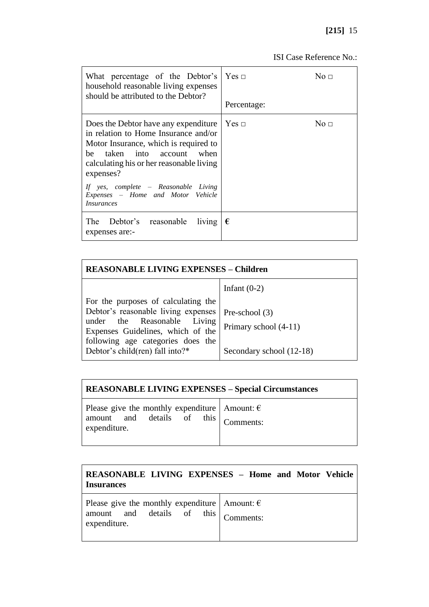| What percentage of the Debtor's<br>household reasonable living expenses<br>should be attributed to the Debtor?                                                                                                                                                                                                 | $Yes \sqcap$<br>Percentage: | No $\Box$ |
|----------------------------------------------------------------------------------------------------------------------------------------------------------------------------------------------------------------------------------------------------------------------------------------------------------------|-----------------------------|-----------|
| Does the Debtor have any expenditure<br>in relation to Home Insurance and/or<br>Motor Insurance, which is required to<br>be taken into account when<br>calculating his or her reasonable living<br>expenses?<br>If yes, complete – Reasonable Living<br>Expenses - Home and Motor Vehicle<br><i>Insurances</i> | Yes ⊡                       | No $\Box$ |
| The Debtor's reasonable living<br>expenses are:-                                                                                                                                                                                                                                                               | €                           |           |

| <b>REASONABLE LIVING EXPENSES - Children</b>                                                                                                                                                                           |                                                                       |  |
|------------------------------------------------------------------------------------------------------------------------------------------------------------------------------------------------------------------------|-----------------------------------------------------------------------|--|
|                                                                                                                                                                                                                        | Infant $(0-2)$                                                        |  |
| For the purposes of calculating the<br>Debtor's reasonable living expenses<br>under the Reasonable Living<br>Expenses Guidelines, which of the<br>following age categories does the<br>Debtor's child(ren) fall into?* | Pre-school $(3)$<br>Primary school (4-11)<br>Secondary school (12-18) |  |

| <b>REASONABLE LIVING EXPENSES - Special Circumstances</b>                                              |           |
|--------------------------------------------------------------------------------------------------------|-----------|
| Please give the monthly expenditure   Amount: $\epsilon$<br>amount and details of this<br>expenditure. | Comments: |

| <b>Insurances</b>                                                                                                | <b>REASONABLE LIVING EXPENSES - Home and Motor Vehicle</b> |
|------------------------------------------------------------------------------------------------------------------|------------------------------------------------------------|
| Please give the monthly expenditure   Amount: $\epsilon$<br>amount and details of this Comments:<br>expenditure. |                                                            |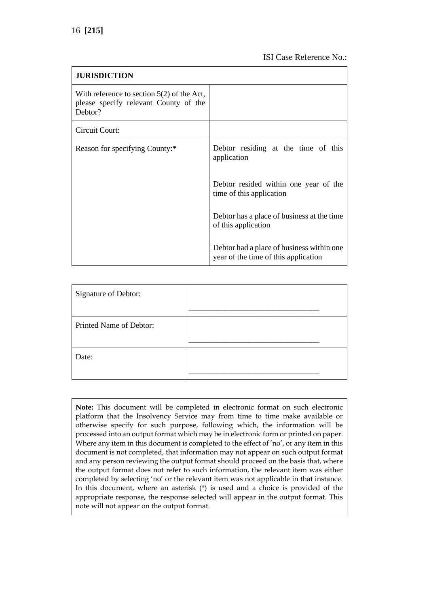| <b>JURISDICTION</b>                                                                              |                                                                                   |
|--------------------------------------------------------------------------------------------------|-----------------------------------------------------------------------------------|
| With reference to section $5(2)$ of the Act,<br>please specify relevant County of the<br>Debtor? |                                                                                   |
| Circuit Court:                                                                                   |                                                                                   |
| Reason for specifying County:*                                                                   | Debtor residing at the time of this<br>application                                |
|                                                                                                  | Debtor resided within one year of the<br>time of this application                 |
|                                                                                                  | Debtor has a place of business at the time<br>of this application                 |
|                                                                                                  | Debtor had a place of business within one<br>year of the time of this application |

| Signature of Debtor:    |  |
|-------------------------|--|
| Printed Name of Debtor: |  |
| Date:                   |  |

**Note:** This document will be completed in electronic format on such electronic platform that the Insolvency Service may from time to time make available or otherwise specify for such purpose, following which, the information will be processed into an output format which may be in electronic form or printed on paper. Where any item in this document is completed to the effect of 'no', or any item in this document is not completed, that information may not appear on such output format and any person reviewing the output format should proceed on the basis that, where the output format does not refer to such information, the relevant item was either completed by selecting 'no' or the relevant item was not applicable in that instance. In this document, where an asterisk (\*) is used and a choice is provided of the appropriate response, the response selected will appear in the output format. This note will not appear on the output format.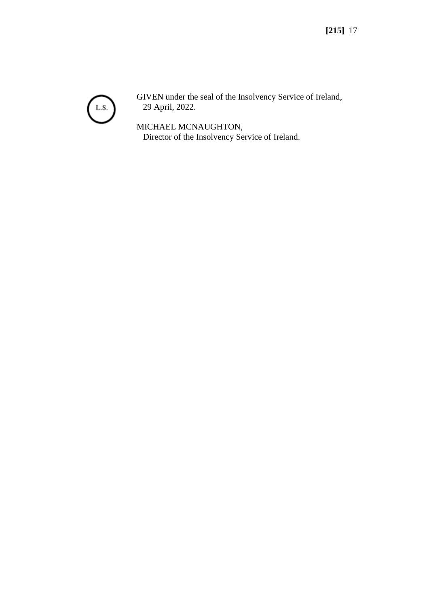

GIVEN under the seal of the Insolvency Service of Ireland, 29 April, 2022.

MICHAEL MCNAUGHTON, Director of the Insolvency Service of Ireland.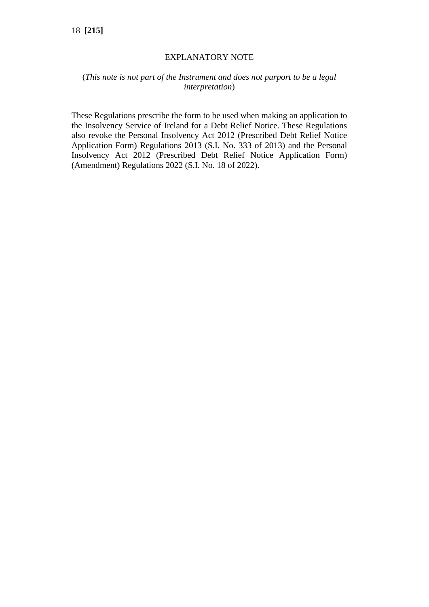### EXPLANATORY NOTE

### (*This note is not part of the Instrument and does not purport to be a legal interpretation*)

These Regulations prescribe the form to be used when making an application to the Insolvency Service of Ireland for a Debt Relief Notice. These Regulations also revoke the Personal Insolvency Act 2012 (Prescribed Debt Relief Notice Application Form) Regulations 2013 (S.I. No. 333 of 2013) and the Personal Insolvency Act 2012 (Prescribed Debt Relief Notice Application Form) (Amendment) Regulations 2022 (S.I. No. 18 of 2022).